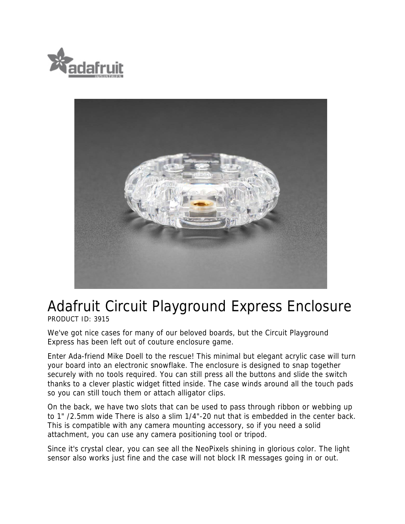



## Adafruit Circuit Playground Express Enclosure

PRODUCT ID: 3915

We've got nice cases for many of our beloved boards, but the Circuit Playground Express has been left out of couture enclosure game.

Enter Ada-friend Mike Doell to the rescue! This minimal but elegant acrylic case will turn your board into an electronic snowflake. The enclosure is designed to snap together securely with no tools required. You can still press all the buttons and slide the switch thanks to a clever plastic widget fitted inside. The case winds around all the touch pads so you can still touch them or attach alligator clips.

On the back, we have two slots that can be used to pass through ribbon or webbing up to 1" /2.5mm wide There is also a slim 1/4"-20 nut that is embedded in the center back. This is compatible with any camera mounting accessory, so if you need a solid attachment, you can use any camera positioning tool or tripod.

Since it's crystal clear, you can see all the NeoPixels shining in glorious color. The light sensor also works just fine and the case will not block IR messages going in or out.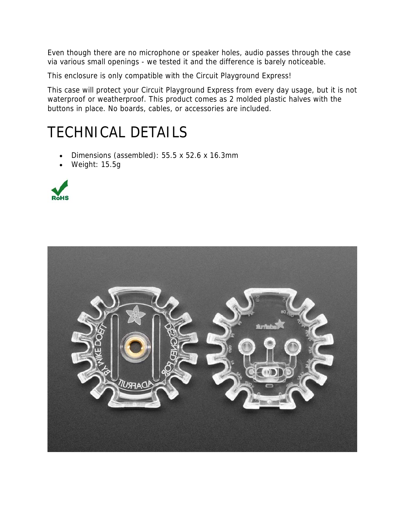Even though there are no microphone or speaker holes, audio passes through the case via various small openings - we tested it and the difference is barely noticeable.

This enclosure is only compatible with the Circuit Playground Express!

This case will protect your Circuit Playground Express from every day usage, but it is not waterproof or weatherproof. This product comes as 2 molded plastic halves with the buttons in place. No boards, cables, or accessories are included.

## TECHNICAL DETAILS

- Dimensions (assembled): 55.5 x 52.6 x 16.3mm
- Weight: 15.5g